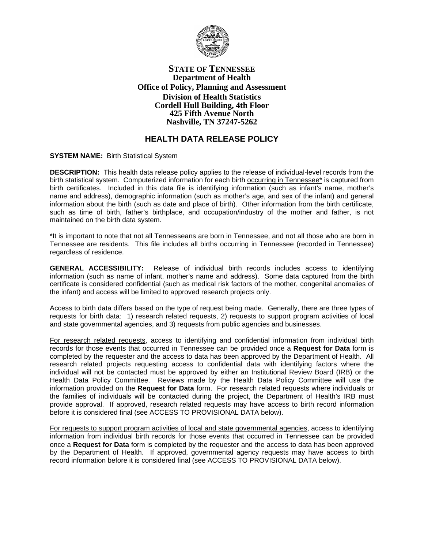

# **STATE OF TENNESSEE Department of Health Office of Policy, Planning and Assessment Division of Health Statistics Cordell Hull Building, 4th Floor 425 Fifth Avenue North Nashville, TN 37247-5262**

# **HEALTH DATA RELEASE POLICY**

**SYSTEM NAME:** Birth Statistical System

**DESCRIPTION:** This health data release policy applies to the release of individual-level records from the birth statistical system. Computerized information for each birth occurring in Tennessee\* is captured from birth certificates. Included in this data file is identifying information (such as infant's name, mother's name and address), demographic information (such as mother's age, and sex of the infant) and general information about the birth (such as date and place of birth). Other information from the birth certificate, such as time of birth, father's birthplace, and occupation/industry of the mother and father, is not maintained on the birth data system.

\*It is important to note that not all Tennesseans are born in Tennessee, and not all those who are born in Tennessee are residents. This file includes all births occurring in Tennessee (recorded in Tennessee) regardless of residence.

**GENERAL ACCESSIBILITY:** Release of individual birth records includes access to identifying information (such as name of infant, mother's name and address). Some data captured from the birth certificate is considered confidential (such as medical risk factors of the mother, congenital anomalies of the infant) and access will be limited to approved research projects only.

Access to birth data differs based on the type of request being made. Generally, there are three types of requests for birth data: 1) research related requests, 2) requests to support program activities of local and state governmental agencies, and 3) requests from public agencies and businesses.

For research related requests, access to identifying and confidential information from individual birth records for those events that occurred in Tennessee can be provided once a **Request for Data** form is completed by the requester and the access to data has been approved by the Department of Health. All research related projects requesting access to confidential data with identifying factors where the individual will not be contacted must be approved by either an Institutional Review Board (IRB) or the Health Data Policy Committee. Reviews made by the Health Data Policy Committee will use the information provided on the **Request for Data** form. For research related requests where individuals or the families of individuals will be contacted during the project, the Department of Health's IRB must provide approval. If approved, research related requests may have access to birth record information before it is considered final (see ACCESS TO PROVISIONAL DATA below).

For requests to support program activities of local and state governmental agencies, access to identifying information from individual birth records for those events that occurred in Tennessee can be provided once a **Request for Data** form is completed by the requester and the access to data has been approved by the Department of Health. If approved, governmental agency requests may have access to birth record information before it is considered final (see ACCESS TO PROVISIONAL DATA below).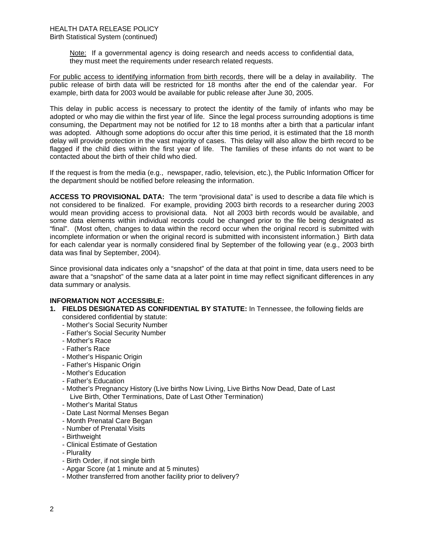Note: If a governmental agency is doing research and needs access to confidential data, they must meet the requirements under research related requests.

For public access to identifying information from birth records, there will be a delay in availability. The public release of birth data will be restricted for 18 months after the end of the calendar year. For example, birth data for 2003 would be available for public release after June 30, 2005.

This delay in public access is necessary to protect the identity of the family of infants who may be adopted or who may die within the first year of life. Since the legal process surrounding adoptions is time consuming, the Department may not be notified for 12 to 18 months after a birth that a particular infant was adopted. Although some adoptions do occur after this time period, it is estimated that the 18 month delay will provide protection in the vast majority of cases. This delay will also allow the birth record to be flagged if the child dies within the first year of life. The families of these infants do not want to be contacted about the birth of their child who died.

If the request is from the media (e.g., newspaper, radio, television, etc.), the Public Information Officer for the department should be notified before releasing the information.

**ACCESS TO PROVISIONAL DATA:** The term "provisional data" is used to describe a data file which is not considered to be finalized. For example, providing 2003 birth records to a researcher during 2003 would mean providing access to provisional data. Not all 2003 birth records would be available, and some data elements within individual records could be changed prior to the file being designated as "final". (Most often, changes to data within the record occur when the original record is submitted with incomplete information or when the original record is submitted with inconsistent information.) Birth data for each calendar year is normally considered final by September of the following year (e.g., 2003 birth data was final by September, 2004).

Since provisional data indicates only a "snapshot" of the data at that point in time, data users need to be aware that a "snapshot" of the same data at a later point in time may reflect significant differences in any data summary or analysis.

## **INFORMATION NOT ACCESSIBLE:**

- **1. FIELDS DESIGNATED AS CONFIDENTIAL BY STATUTE:** In Tennessee, the following fields are considered confidential by statute:
	- Mother's Social Security Number
	- Father's Social Security Number
	- Mother's Race
	- Father's Race
	- Mother's Hispanic Origin
	- Father's Hispanic Origin
	- Mother's Education
	- Father's Education
	- Mother's Pregnancy History (Live births Now Living, Live Births Now Dead, Date of Last Live Birth, Other Terminations, Date of Last Other Termination)
	- Mother's Marital Status
	- Date Last Normal Menses Began
	- Month Prenatal Care Began
	- Number of Prenatal Visits
	- Birthweight
	- Clinical Estimate of Gestation
	- Plurality
	- Birth Order, if not single birth
	- Apgar Score (at 1 minute and at 5 minutes)
	- Mother transferred from another facility prior to delivery?